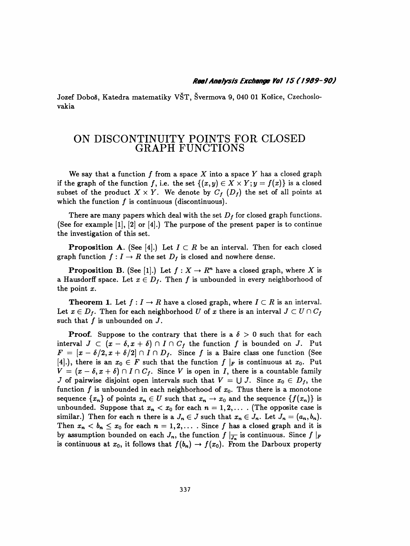## Real Analysis Exchange Vol 15 (1989-90)

 Jozef Doboš, Katedra matematiky VŠT, Švermova 9, 040 01 Košice, Czechoslo vakia

## ON DISCONTINUITY POINTS FOR CLOSED GRAPH FUNCTIONS

We say that a function  $f$  from a space  $X$  into a space  $Y$  has a closed graph if the graph of the function f, i.e. the set  $\{(x, y) \in X \times Y; y = f(x)\}\)$  is a closed subset of the product  $X \times Y$ . We denote by  $C_f$   $(D_f)$  the set of all points at which the function  $f$  is continuous (discontinuous).

There are many papers which deal with the set  $D_f$  for closed graph functions. (See for example  $[1]$ ,  $[2]$  or  $[4]$ .) The purpose of the present paper is to continue the investigation of this set.

**Proposition A.** (See [4].) Let  $I \subset R$  be an interval. Then for each closed graph function  $f : I \to R$  the set  $D_f$  is closed and nowhere dense.

**Proposition B.** (See [1].) Let  $f: X \to \mathbb{R}^n$  have a closed graph, where X is a Hausdorff space. Let  $x \in D_f$ . Then f is unbounded in every neighborhood of the point  $x$ .

**Theorem 1.** Let  $f: I \to R$  have a closed graph, where  $I \subset R$  is an interval. Let  $x \in D_f$ . Then for each neighborhood U of x there is an interval  $J \subset U \cap C_f$ such that  $f$  is unbounded on  $J$ .

**Proof.** Suppose to the contrary that there is a  $\delta > 0$  such that for each interval  $J \subset (x - \delta, x + \delta) \cap I \cap C_f$  the function f is bounded on J. Put  $F = [x - \delta/2, x + \delta/2] \cap I \cap D_f$ . Since f is a Baire class one function (See [4].), there is an  $x_0 \in F$  such that the function  $f|_F$  is continuous at  $x_0$ . Put  $V = (x - \delta, x + \delta) \cap I \cap C_f$ . Since V is open in I, there is a countable family J of pairwise disjoint open intervals such that  $V = \bigcup J$ . Since  $x_0 \in D_f$ , the function f is unbounded in each neighborhood of  $x_0$ . Thus there is a monotone sequence  $\{x_n\}$  of points  $x_n \in U$  such that  $x_n \to x_0$  and the sequence  $\{f(x_n)\}$  is unbounded. Suppose that  $x_n < x_0$  for each  $n = 1, 2, \ldots$  . (The opposite case is similar.) Then for each *n* there is a  $J_n \in J$  such that  $x_n \in J_n$ . Let  $J_n = (a_n, b_n)$ . Then  $x_n < b_n \le x_0$  for each  $n = 1, 2, \ldots$ . Since f has a closed graph and it is by assumption bounded on each  $J_n$ , the function  $f|_{\overline{J_n}}$  is continuous. Since  $f|_F$ is continuous at  $x_0$ , it follows that  $f(b_n) \to f(x_0)$ . From the Darboux property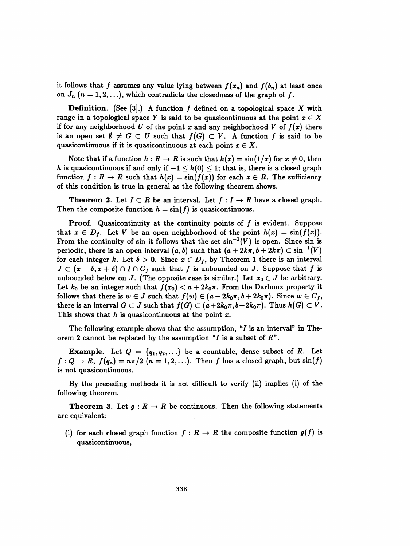it follows that f assumes any value lying between  $f(x_n)$  and  $f(b_n)$  at least once on  $J_n$   $(n = 1, 2, \ldots)$ , which contradicts the closedness of the graph of f.

**Definition.** (See [3].) A function f defined on a topological space X with range in a topological space Y is said to be quasicontinuous at the point  $x \in X$ if for any neighborhood U of the point x and any neighborhood V of  $f(x)$  there is an open set  $\emptyset \neq G \subset U$  such that  $f(G) \subset V$ . A function f is said to be quasicontinuous if it is quasicontinuous at each point  $x \in X$ .

Note that if a function  $h : R \to R$  is such that  $h(x) = \sin(1/x)$  for  $x \neq 0$ , then h is quasicontinuous if and only if  $-1 \leq h(0) \leq 1$ ; that is, there is a closed graph function  $f : R \to R$  such that  $h(x) = \sin(f(x))$  for each  $x \in R$ . The sufficiency of this condition is true in general as the following theorem shows.

**Theorem 2.** Let  $I \subset R$  be an interval. Let  $f: I \to R$  have a closed graph. Then the composite function  $h = \sin(f)$  is quasicontinuous.

**Proof.** Quasicontinuity at the continuity points of  $f$  is evident. Suppose that  $x \in D_f$ . Let V be an open neighborhood of the point  $h(x) = \sin(f(x))$ . From the continuity of sin it follows that the set  $sin^{-1}(V)$  is open. Since sin is periodic, there is an open interval  $(a, b)$  such that  $(a + 2k\pi, b + 2k\pi) \subset \sin^{-1}(V)$ for each integer k. Let  $\delta > 0$ . Since  $x \in D_f$ , by Theorem 1 there is an interval  $J \subset (x - \delta, x + \delta) \cap I \cap C_f$  such that f is unbounded on J. Suppose that f is unbounded below on J. (The opposite case is similar.) Let  $x_0 \in J$  be arbitrary. Let  $k_0$  be an integer such that  $f(x_0) < a + 2k_0\pi$ . From the Darboux property it follows that there is  $w \in J$  such that  $f(w) \in (a + 2k_0\pi, b + 2k_0\pi)$ . Since  $w \in C_f$ , there is an interval  $G \subset J$  such that  $f(G) \subset (a+2k_0\pi, b+2k_0\pi)$ . Thus  $h(G) \subset V$ . This shows that h is quasicontinuous at the point  $x$ .

The following example shows that the assumption, " $I$  is an interval" in Theorem 2 cannot be replaced by the assumption "I is a subset of  $R$ ".

**Example.** Let  $Q = \{q_1, q_2, ...\}$  be a countable, dense subset of R. Let  $f: Q \to R$ ,  $f(q_n) = n\pi/2$   $(n = 1, 2, ...)$ . Then f has a closed graph, but  $sin(f)$ is not quasicontinuous.

 By the preceding methods it is not difficult to verify (ii) implies (i) of the following theorem.

**Theorem 3.** Let  $g: R \to R$  be continuous. Then the following statements are equivalent:

(i) for each closed graph function  $f : R \to R$  the composite function  $g(f)$  is quasicontinuous,